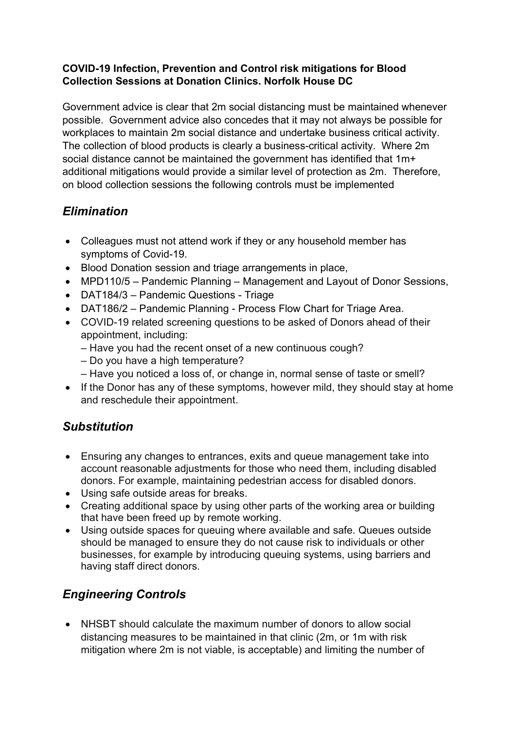#### COVID-19 Infection, Prevention and Control risk mitigations for Blood Collection Sessions at Donation Clinics. Norfolk House DC

Government advice is clear that 2m social distancing must be maintained whenever possible. Government advice also concedes that it may not always be possible for workplaces to maintain 2m social distance and undertake business critical activity. The collection of blood products is clearly a business-critical activity. Where 2m social distance cannot be maintained the government has identified that 1m+ additional mitigations would provide a similar level of protection as 2m. Therefore, on blood collection sessions the following controls must be implemented

# **Elimination**

- Colleagues must not attend work if they or any household member has symptoms of Covid-19.
- Blood Donation session and triage arrangements in place,
- MPD110/5 Pandemic Planning Management and Layout of Donor Sessions,
- DAT184/3 Pandemic Questions Triage
- DAT186/2 Pandemic Planning Process Flow Chart for Triage Area.
- COVID-19 related screening questions to be asked of Donors ahead of their appointment, including:
	- Have you had the recent onset of a new continuous cough?
	- Do you have a high temperature?
	- Have you noticed a loss of, or change in, normal sense of taste or smell?
- If the Donor has any of these symptoms, however mild, they should stay at home and reschedule their appointment.

### **Substitution**

- Ensuring any changes to entrances, exits and queue management take into account reasonable adjustments for those who need them, including disabled donors. For example, maintaining pedestrian access for disabled donors.
- Using safe outside areas for breaks.
- Creating additional space by using other parts of the working area or building that have been freed up by remote working.
- Using outside spaces for queuing where available and safe. Queues outside should be managed to ensure they do not cause risk to individuals or other businesses, for example by introducing queuing systems, using barriers and having staff direct donors.

# Engineering Controls

 NHSBT should calculate the maximum number of donors to allow social distancing measures to be maintained in that clinic (2m, or 1m with risk mitigation where 2m is not viable, is acceptable) and limiting the number of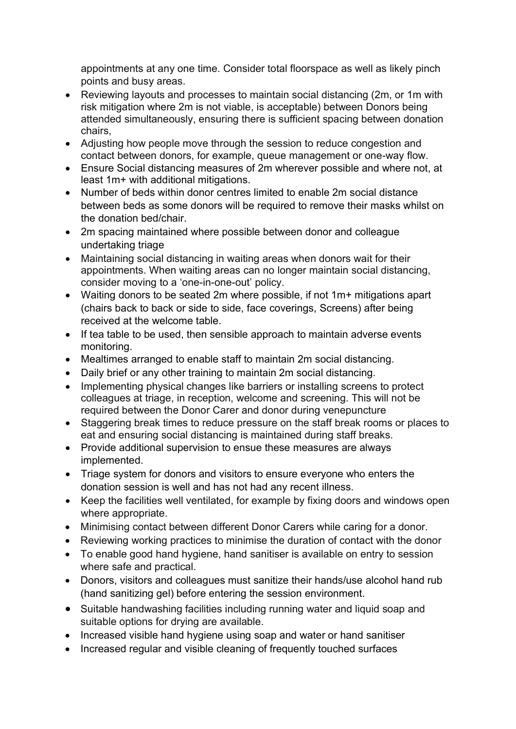appointments at any one time. Consider total floorspace as well as likely pinch points and busy areas.

- Reviewing layouts and processes to maintain social distancing (2m, or 1m with risk mitigation where 2m is not viable, is acceptable) between Donors being attended simultaneously, ensuring there is sufficient spacing between donation chairs,
- Adjusting how people move through the session to reduce congestion and contact between donors, for example, queue management or one-way flow.
- Ensure Social distancing measures of 2m wherever possible and where not, at least 1m+ with additional mitigations.
- Number of beds within donor centres limited to enable 2m social distance between beds as some donors will be required to remove their masks whilst on the donation bed/chair.
- 2m spacing maintained where possible between donor and colleague undertaking triage
- Maintaining social distancing in waiting areas when donors wait for their appointments. When waiting areas can no longer maintain social distancing, consider moving to a 'one-in-one-out' policy.
- Waiting donors to be seated 2m where possible, if not 1m+ mitigations apart (chairs back to back or side to side, face coverings, Screens) after being received at the welcome table.
- If tea table to be used, then sensible approach to maintain adverse events monitoring.
- Mealtimes arranged to enable staff to maintain 2m social distancing.
- Daily brief or any other training to maintain 2m social distancing.
- Implementing physical changes like barriers or installing screens to protect colleagues at triage, in reception, welcome and screening. This will not be required between the Donor Carer and donor during venepuncture
- Staggering break times to reduce pressure on the staff break rooms or places to eat and ensuring social distancing is maintained during staff breaks.
- Provide additional supervision to ensue these measures are always implemented.
- Triage system for donors and visitors to ensure everyone who enters the donation session is well and has not had any recent illness.
- Keep the facilities well ventilated, for example by fixing doors and windows open where appropriate.
- Minimising contact between different Donor Carers while caring for a donor.
- Reviewing working practices to minimise the duration of contact with the donor
- To enable good hand hygiene, hand sanitiser is available on entry to session where safe and practical.
- Donors, visitors and colleagues must sanitize their hands/use alcohol hand rub (hand sanitizing gel) before entering the session environment.
- Suitable handwashing facilities including running water and liquid soap and suitable options for drying are available.
- Increased visible hand hygiene using soap and water or hand sanitiser
- Increased regular and visible cleaning of frequently touched surfaces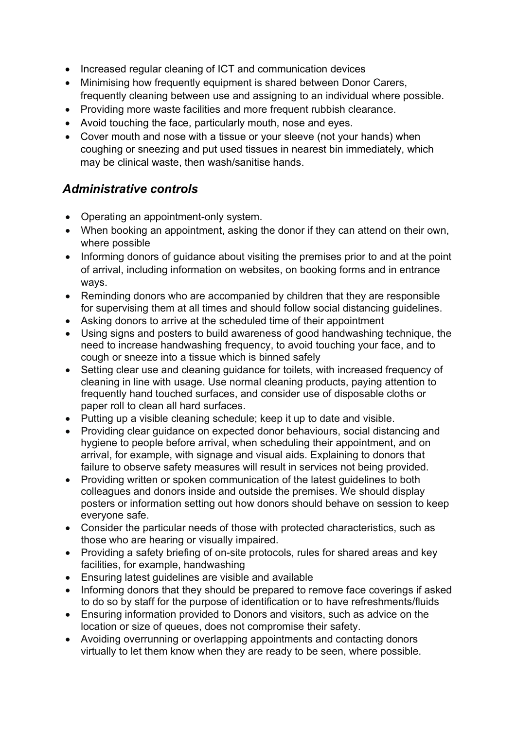- Increased regular cleaning of ICT and communication devices
- Minimising how frequently equipment is shared between Donor Carers, frequently cleaning between use and assigning to an individual where possible.
- Providing more waste facilities and more frequent rubbish clearance.
- Avoid touching the face, particularly mouth, nose and eyes.
- Cover mouth and nose with a tissue or your sleeve (not your hands) when coughing or sneezing and put used tissues in nearest bin immediately, which may be clinical waste, then wash/sanitise hands.

### Administrative controls

- Operating an appointment-only system.
- When booking an appointment, asking the donor if they can attend on their own, where possible
- Informing donors of guidance about visiting the premises prior to and at the point of arrival, including information on websites, on booking forms and in entrance ways.
- Reminding donors who are accompanied by children that they are responsible for supervising them at all times and should follow social distancing guidelines.
- Asking donors to arrive at the scheduled time of their appointment
- Using signs and posters to build awareness of good handwashing technique, the need to increase handwashing frequency, to avoid touching your face, and to cough or sneeze into a tissue which is binned safely
- Setting clear use and cleaning guidance for toilets, with increased frequency of cleaning in line with usage. Use normal cleaning products, paying attention to frequently hand touched surfaces, and consider use of disposable cloths or paper roll to clean all hard surfaces.
- Putting up a visible cleaning schedule; keep it up to date and visible.
- Providing clear guidance on expected donor behaviours, social distancing and hygiene to people before arrival, when scheduling their appointment, and on arrival, for example, with signage and visual aids. Explaining to donors that failure to observe safety measures will result in services not being provided.
- Providing written or spoken communication of the latest guidelines to both colleagues and donors inside and outside the premises. We should display posters or information setting out how donors should behave on session to keep everyone safe.
- Consider the particular needs of those with protected characteristics, such as those who are hearing or visually impaired.
- Providing a safety briefing of on-site protocols, rules for shared areas and key facilities, for example, handwashing
- Ensuring latest guidelines are visible and available
- Informing donors that they should be prepared to remove face coverings if asked to do so by staff for the purpose of identification or to have refreshments/fluids
- Ensuring information provided to Donors and visitors, such as advice on the location or size of queues, does not compromise their safety.
- Avoiding overrunning or overlapping appointments and contacting donors virtually to let them know when they are ready to be seen, where possible.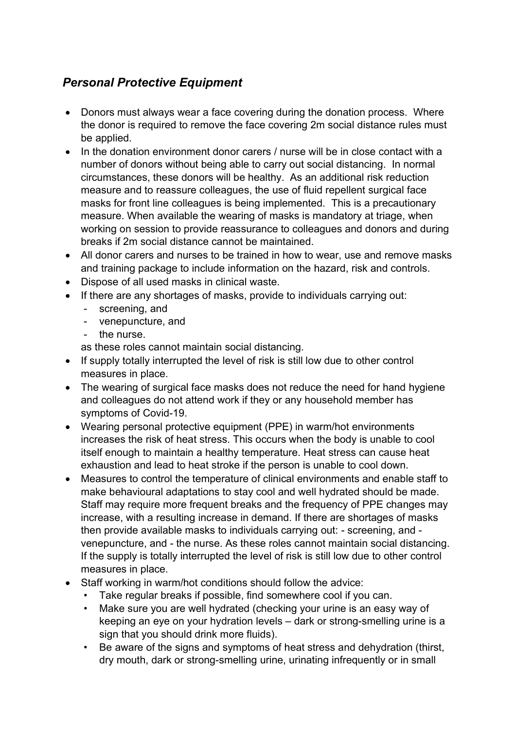# Personal Protective Equipment

- Donors must always wear a face covering during the donation process. Where the donor is required to remove the face covering 2m social distance rules must be applied.
- In the donation environment donor carers / nurse will be in close contact with a number of donors without being able to carry out social distancing. In normal circumstances, these donors will be healthy. As an additional risk reduction measure and to reassure colleagues, the use of fluid repellent surgical face masks for front line colleagues is being implemented. This is a precautionary measure. When available the wearing of masks is mandatory at triage, when working on session to provide reassurance to colleagues and donors and during breaks if 2m social distance cannot be maintained.
- All donor carers and nurses to be trained in how to wear, use and remove masks and training package to include information on the hazard, risk and controls.
- Dispose of all used masks in clinical waste.
- If there are any shortages of masks, provide to individuals carrying out:
	- screening, and
	- venepuncture, and
	- the nurse.
	- as these roles cannot maintain social distancing.
- If supply totally interrupted the level of risk is still low due to other control measures in place.
- The wearing of surgical face masks does not reduce the need for hand hygiene and colleagues do not attend work if they or any household member has symptoms of Covid-19.
- Wearing personal protective equipment (PPE) in warm/hot environments increases the risk of heat stress. This occurs when the body is unable to cool itself enough to maintain a healthy temperature. Heat stress can cause heat exhaustion and lead to heat stroke if the person is unable to cool down.
- Measures to control the temperature of clinical environments and enable staff to make behavioural adaptations to stay cool and well hydrated should be made. Staff may require more frequent breaks and the frequency of PPE changes may increase, with a resulting increase in demand. If there are shortages of masks then provide available masks to individuals carrying out: - screening, and venepuncture, and - the nurse. As these roles cannot maintain social distancing. If the supply is totally interrupted the level of risk is still low due to other control measures in place.
- Staff working in warm/hot conditions should follow the advice:
	- Take regular breaks if possible, find somewhere cool if you can.
	- Make sure you are well hydrated (checking your urine is an easy way of keeping an eye on your hydration levels – dark or strong-smelling urine is a sign that you should drink more fluids).
	- Be aware of the signs and symptoms of heat stress and dehydration (thirst, dry mouth, dark or strong-smelling urine, urinating infrequently or in small